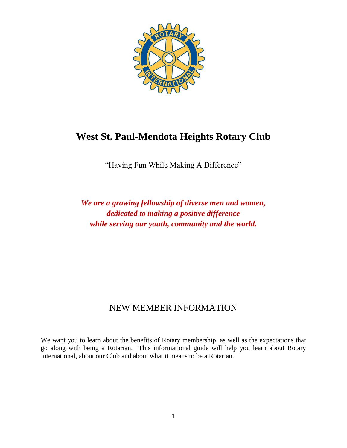

# **West St. Paul-Mendota Heights Rotary Club**

"Having Fun While Making A Difference"

*We are a growing fellowship of diverse men and women, dedicated to making a positive difference while serving our youth, community and the world.*

## NEW MEMBER INFORMATION

We want you to learn about the benefits of Rotary membership, as well as the expectations that go along with being a Rotarian. This informational guide will help you learn about Rotary International, about our Club and about what it means to be a Rotarian.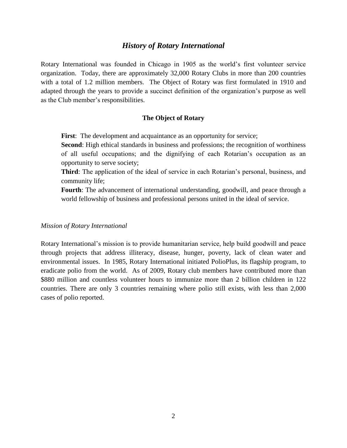## *History of Rotary International*

Rotary International was founded in Chicago in 1905 as the world's first volunteer service organization. Today, there are approximately 32,000 Rotary Clubs in more than 200 countries with a total of 1.2 million members. The Object of Rotary was first formulated in 1910 and adapted through the years to provide a succinct definition of the organization's purpose as well as the Club member's responsibilities.

#### **The Object of Rotary**

**First**: The development and acquaintance as an opportunity for service;

**Second**: High ethical standards in business and professions; the recognition of worthiness of all useful occupations; and the dignifying of each Rotarian's occupation as an opportunity to serve society;

**Third**: The application of the ideal of service in each Rotarian's personal, business, and community life;

**Fourth**: The advancement of international understanding, goodwill, and peace through a world fellowship of business and professional persons united in the ideal of service.

#### *Mission of Rotary International*

Rotary International's mission is to provide humanitarian service, help build goodwill and peace through projects that address illiteracy, disease, hunger, poverty, lack of clean water and environmental issues. In 1985, Rotary International initiated PolioPlus, its flagship program, to eradicate polio from the world. As of 2009, Rotary club members have contributed more than \$880 million and countless volunteer hours to immunize more than 2 billion children in 122 countries. There are only 3 countries remaining where polio still exists, with less than 2,000 cases of polio reported.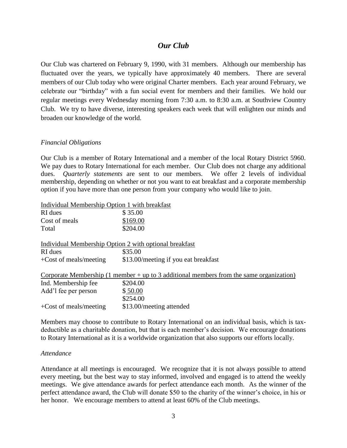## *Our Club*

Our Club was chartered on February 9, 1990, with 31 members. Although our membership has fluctuated over the years, we typically have approximately 40 members. There are several members of our Club today who were original Charter members. Each year around February, we celebrate our "birthday" with a fun social event for members and their families. We hold our regular meetings every Wednesday morning from 7:30 a.m. to 8:30 a.m. at Southview Country Club. We try to have diverse, interesting speakers each week that will enlighten our minds and broaden our knowledge of the world.

#### *Financial Obligations*

Our Club is a member of Rotary International and a member of the local Rotary District 5960. We pay dues to Rotary International for each member. Our Club does not charge any additional dues. *Quarterly statements* are sent to our members. We offer 2 levels of individual membership, depending on whether or not you want to eat breakfast and a corporate membership option if you have more than one person from your company who would like to join.

Individual Membership Option 1 with breakfast

| RI dues                  | \$35.00                                                                                   |
|--------------------------|-------------------------------------------------------------------------------------------|
| Cost of meals            | \$169.00                                                                                  |
| Total                    | \$204.00                                                                                  |
|                          | Individual Membership Option 2 with optional breakfast                                    |
| RI dues                  | \$35.00                                                                                   |
| $+Cost$ of meals/meeting | \$13.00/meeting if you eat breakfast                                                      |
|                          | Corporate Membership $(1$ member + up to 3 additional members from the same organization) |
| Ind. Membership fee      | \$204.00                                                                                  |
| Add'l fee per person     | \$50.00                                                                                   |
|                          | \$254.00                                                                                  |
| $+Cost$ of meals/meeting | \$13.00/meeting attended                                                                  |

Members may choose to contribute to Rotary International on an individual basis, which is taxdeductible as a charitable donation, but that is each member's decision. We encourage donations to Rotary International as it is a worldwide organization that also supports our efforts locally.

#### *Attendance*

Attendance at all meetings is encouraged. We recognize that it is not always possible to attend every meeting, but the best way to stay informed, involved and engaged is to attend the weekly meetings. We give attendance awards for perfect attendance each month. As the winner of the perfect attendance award, the Club will donate \$50 to the charity of the winner's choice, in his or her honor. We encourage members to attend at least 60% of the Club meetings.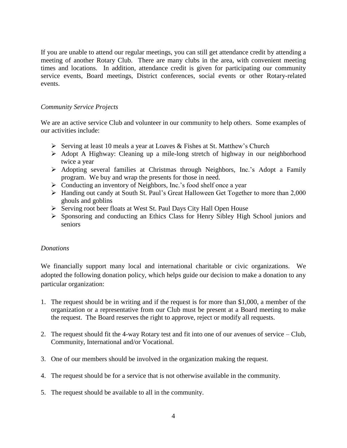If you are unable to attend our regular meetings, you can still get attendance credit by attending a meeting of another Rotary Club. There are many clubs in the area, with convenient meeting times and locations. In addition, attendance credit is given for participating our community service events, Board meetings, District conferences, social events or other Rotary-related events.

## *Community Service Projects*

We are an active service Club and volunteer in our community to help others. Some examples of our activities include:

- Serving at least 10 meals a year at Loaves & Fishes at St. Matthew's Church
- Adopt A Highway: Cleaning up a mile-long stretch of highway in our neighborhood twice a year
- $\triangleright$  Adopting several families at Christmas through Neighbors, Inc.'s Adopt a Family program. We buy and wrap the presents for those in need.
- Conducting an inventory of Neighbors, Inc.'s food shelf once a year
- Handing out candy at South St. Paul's Great Halloween Get Together to more than 2,000 ghouls and goblins
- $\triangleright$  Serving root beer floats at West St. Paul Days City Hall Open House
- Sponsoring and conducting an Ethics Class for Henry Sibley High School juniors and seniors

### *Donations*

We financially support many local and international charitable or civic organizations. We adopted the following donation policy, which helps guide our decision to make a donation to any particular organization:

- 1. The request should be in writing and if the request is for more than \$1,000, a member of the organization or a representative from our Club must be present at a Board meeting to make the request. The Board reserves the right to approve, reject or modify all requests.
- 2. The request should fit the 4-way Rotary test and fit into one of our avenues of service Club, Community, International and/or Vocational.
- 3. One of our members should be involved in the organization making the request.
- 4. The request should be for a service that is not otherwise available in the community.
- 5. The request should be available to all in the community.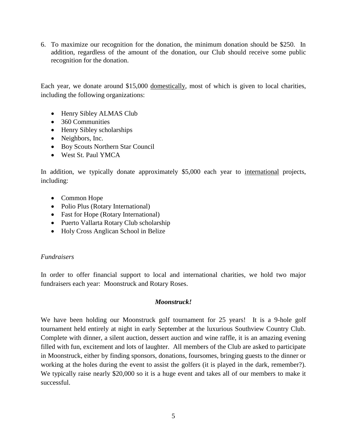6. To maximize our recognition for the donation, the minimum donation should be \$250. In addition, regardless of the amount of the donation, our Club should receive some public recognition for the donation.

Each year, we donate around \$15,000 domestically, most of which is given to local charities, including the following organizations:

- Henry Sibley ALMAS Club
- 360 Communities
- Henry Sibley scholarships
- Neighbors, Inc.
- Boy Scouts Northern Star Council
- West St. Paul YMCA

In addition, we typically donate approximately \$5,000 each year to international projects, including:

- Common Hope
- Polio Plus (Rotary International)
- Fast for Hope (Rotary International)
- Puerto Vallarta Rotary Club scholarship
- Holy Cross Anglican School in Belize

## *Fundraisers*

In order to offer financial support to local and international charities, we hold two major fundraisers each year: Moonstruck and Rotary Roses.

## *Moonstruck!*

We have been holding our Moonstruck golf tournament for 25 years! It is a 9-hole golf tournament held entirely at night in early September at the luxurious Southview Country Club. Complete with dinner, a silent auction, dessert auction and wine raffle, it is an amazing evening filled with fun, excitement and lots of laughter. All members of the Club are asked to participate in Moonstruck, either by finding sponsors, donations, foursomes, bringing guests to the dinner or working at the holes during the event to assist the golfers (it is played in the dark, remember?). We typically raise nearly \$20,000 so it is a huge event and takes all of our members to make it successful.